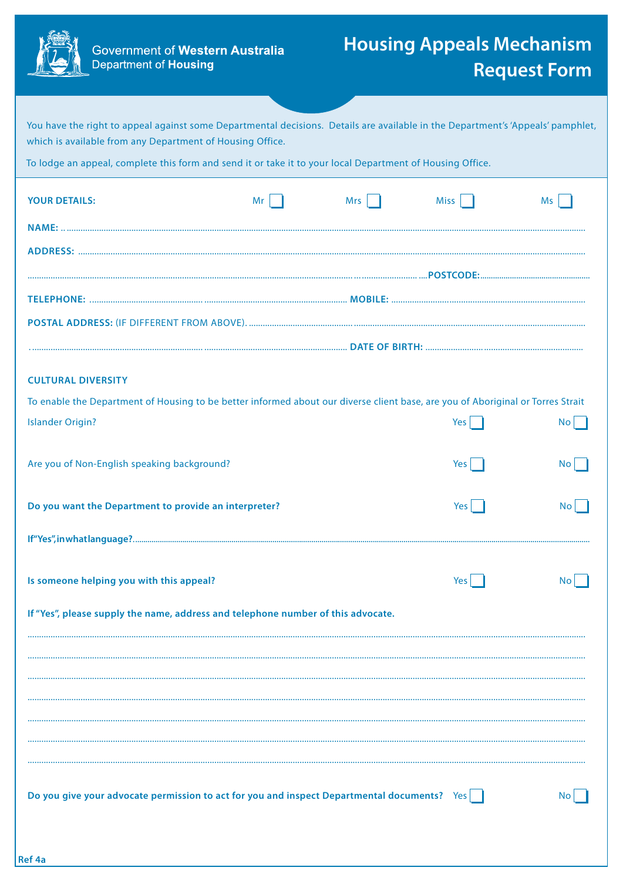

Ref 4a

Government of Western Australia<br>Department of Housing

## **Housing Appeals Mechanism Request Form**

| You have the right to appeal against some Departmental decisions. Details are available in the Department's 'Appeals' pamphlet,<br>which is available from any Department of Housing Office. |    |     |                   |                  |  |  |
|----------------------------------------------------------------------------------------------------------------------------------------------------------------------------------------------|----|-----|-------------------|------------------|--|--|
| To lodge an appeal, complete this form and send it or take it to your local Department of Housing Office.                                                                                    |    |     |                   |                  |  |  |
| <b>YOUR DETAILS:</b>                                                                                                                                                                         | Mr | Mrs | Miss <sup>1</sup> | Ms               |  |  |
|                                                                                                                                                                                              |    |     |                   |                  |  |  |
|                                                                                                                                                                                              |    |     |                   |                  |  |  |
|                                                                                                                                                                                              |    |     |                   |                  |  |  |
|                                                                                                                                                                                              |    |     |                   |                  |  |  |
|                                                                                                                                                                                              |    |     |                   |                  |  |  |
|                                                                                                                                                                                              |    |     |                   |                  |  |  |
| <b>CULTURAL DIVERSITY</b>                                                                                                                                                                    |    |     |                   |                  |  |  |
| To enable the Department of Housing to be better informed about our diverse client base, are you of Aboriginal or Torres Strait                                                              |    |     |                   |                  |  |  |
| <b>Islander Origin?</b>                                                                                                                                                                      |    |     | Yes               | $\overline{N}$ o |  |  |
|                                                                                                                                                                                              |    |     |                   |                  |  |  |
| Are you of Non-English speaking background?                                                                                                                                                  |    |     | Yes               | No <sub>1</sub>  |  |  |
| Do you want the Department to provide an interpreter?                                                                                                                                        |    |     | Yes               | No               |  |  |
|                                                                                                                                                                                              |    |     |                   |                  |  |  |
|                                                                                                                                                                                              |    |     |                   |                  |  |  |
| Is someone helping you with this appeal?                                                                                                                                                     |    |     | Yes               | No.              |  |  |
|                                                                                                                                                                                              |    |     |                   |                  |  |  |
| If "Yes", please supply the name, address and telephone number of this advocate.                                                                                                             |    |     |                   |                  |  |  |
|                                                                                                                                                                                              |    |     |                   |                  |  |  |
|                                                                                                                                                                                              |    |     |                   |                  |  |  |
|                                                                                                                                                                                              |    |     |                   |                  |  |  |
|                                                                                                                                                                                              |    |     |                   |                  |  |  |
|                                                                                                                                                                                              |    |     |                   |                  |  |  |
|                                                                                                                                                                                              |    |     |                   |                  |  |  |
| Do you give your advocate permission to act for you and inspect Departmental documents? Yes                                                                                                  |    |     |                   |                  |  |  |
|                                                                                                                                                                                              |    |     |                   |                  |  |  |
|                                                                                                                                                                                              |    |     |                   |                  |  |  |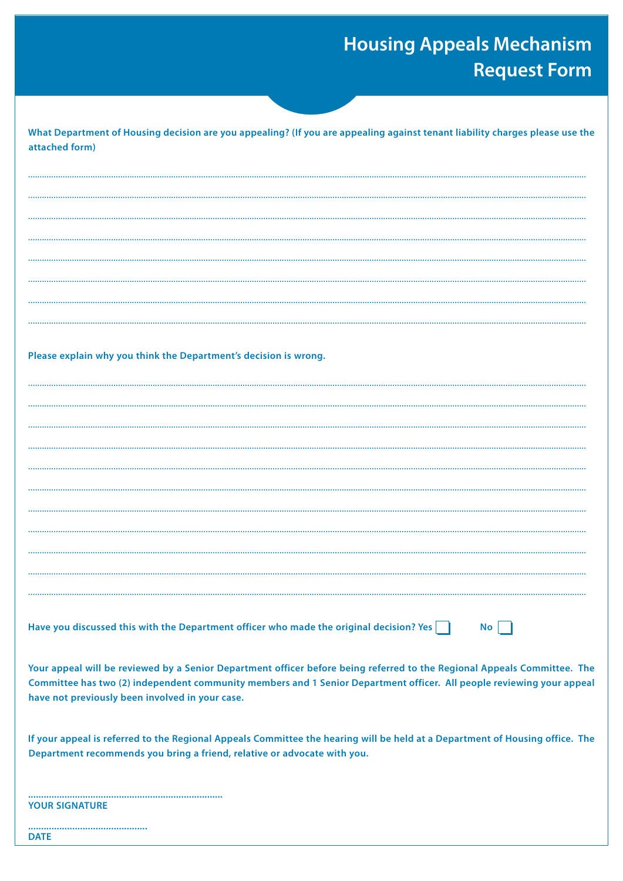## **Housing Appeals Mechanism Request Form**

| What Department of Housing decision are you appealing? (If you are appealing against tenant liability charges please use the<br>attached form)                           |
|--------------------------------------------------------------------------------------------------------------------------------------------------------------------------|
|                                                                                                                                                                          |
|                                                                                                                                                                          |
|                                                                                                                                                                          |
|                                                                                                                                                                          |
|                                                                                                                                                                          |
|                                                                                                                                                                          |
|                                                                                                                                                                          |
|                                                                                                                                                                          |
|                                                                                                                                                                          |
|                                                                                                                                                                          |
| Please explain why you think the Department's decision is wrong.                                                                                                         |
|                                                                                                                                                                          |
|                                                                                                                                                                          |
|                                                                                                                                                                          |
|                                                                                                                                                                          |
|                                                                                                                                                                          |
|                                                                                                                                                                          |
|                                                                                                                                                                          |
|                                                                                                                                                                          |
|                                                                                                                                                                          |
|                                                                                                                                                                          |
|                                                                                                                                                                          |
|                                                                                                                                                                          |
|                                                                                                                                                                          |
|                                                                                                                                                                          |
| Have you discussed this with the Department officer who made the original decision? Yes $\vert$<br>No                                                                    |
| Your appeal will be reviewed by a Senior Department officer before being referred to the Regional Appeals Committee. The                                                 |
| Committee has two (2) independent community members and 1 Senior Department officer. All people reviewing your appeal<br>have not previously been involved in your case. |
| If your appeal is referred to the Regional Appeals Committee the hearing will be held at a Department of Housing office. The                                             |
| Department recommends you bring a friend, relative or advocate with you.                                                                                                 |
|                                                                                                                                                                          |
| <b>YOUR SIGNATURE</b>                                                                                                                                                    |
| <br><b>DATE</b>                                                                                                                                                          |
|                                                                                                                                                                          |